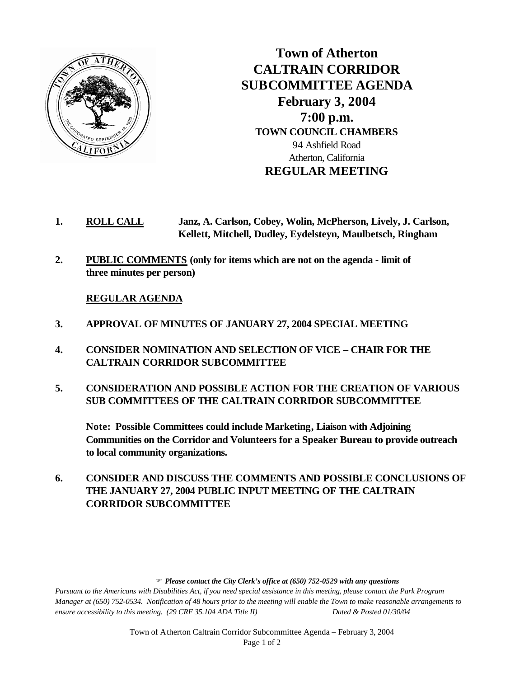

**Town of Atherton CALTRAIN CORRIDOR SUBCOMMITTEE AGENDA February 3, 2004 7:00 p.m. TOWN COUNCIL CHAMBERS** 94 Ashfield Road Atherton, California **REGULAR MEETING**

- **1. ROLL CALL Janz, A. Carlson, Cobey, Wolin, McPherson, Lively, J. Carlson, Kellett, Mitchell, Dudley, Eydelsteyn, Maulbetsch, Ringham**
- **2. PUBLIC COMMENTS (only for items which are not on the agenda limit of three minutes per person)**

## **REGULAR AGENDA**

- **3. APPROVAL OF MINUTES OF JANUARY 27, 2004 SPECIAL MEETING**
- **4. CONSIDER NOMINATION AND SELECTION OF VICE CHAIR FOR THE CALTRAIN CORRIDOR SUBCOMMITTEE**
- **5. CONSIDERATION AND POSSIBLE ACTION FOR THE CREATION OF VARIOUS SUB COMMITTEES OF THE CALTRAIN CORRIDOR SUBCOMMITTEE**

 **Note: Possible Committees could include Marketing, Liaison with Adjoining Communities on the Corridor and Volunteers for a Speaker Bureau to provide outreach to local community organizations.** 

**6. CONSIDER AND DISCUSS THE COMMENTS AND POSSIBLE CONCLUSIONS OF THE JANUARY 27, 2004 PUBLIC INPUT MEETING OF THE CALTRAIN CORRIDOR SUBCOMMITTEE** 

## F *Please contact the City Clerk's office at (650) 752-0529 with any questions*

*Pursuant to the Americans with Disabilities Act, if you need special assistance in this meeting, please contact the Park Program Manager at (650) 752-0534. Notification of 48 hours prior to the meeting will enable the Town to make reasonable arrangements to ensure accessibility to this meeting. (29 CRF 35.104 ADA Title II) Dated & Posted 01/30/04*

> Town of Atherton Caltrain Corridor Subcommittee Agenda – February 3, 2004 Page 1 of 2